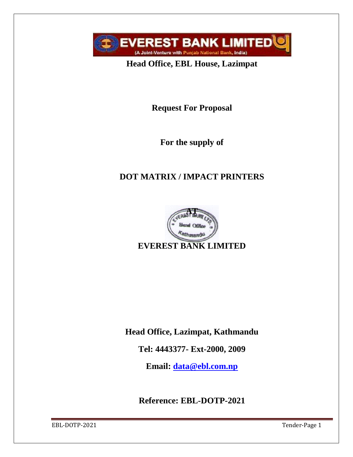

**Head Office, EBL House, Lazimpat**

**Request For Proposal**

**For the supply of** 

# **DOT MATRIX / IMPACT PRINTERS**



**Head Office, Lazimpat, Kathmandu**

**Tel: 4443377- Ext-2000, 2009**

**Email: [data@ebl.com.np](mailto:data@ebl.com.np)**

**Reference: EBL-DOTP-2021**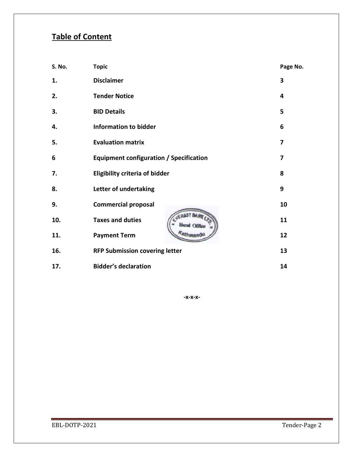# **Table of Content**

| S. No. | <b>Topic</b>                                   | Page No. |
|--------|------------------------------------------------|----------|
| 1.     | <b>Disclaimer</b>                              | 3        |
| 2.     | <b>Tender Notice</b>                           | 4        |
| 3.     | <b>BID Details</b>                             | 5        |
| 4.     | <b>Information to bidder</b>                   | 6        |
| 5.     | <b>Evaluation matrix</b>                       | 7        |
| 6      | <b>Equipment configuration / Specification</b> | 7        |
| 7.     | <b>Eligibility criteria of bidder</b>          | 8        |
| 8.     | Letter of undertaking                          | 9        |
| 9.     | <b>Commercial proposal</b>                     | 10       |
| 10.    | <b>Taxes and duties</b>                        | 11       |
| 11.    | <b>Payment Term</b>                            | 12       |
| 16.    | <b>RFP Submission covering letter</b>          | 13       |
| 17.    | <b>Bidder's declaration</b>                    | 14       |

**-x-x-x-**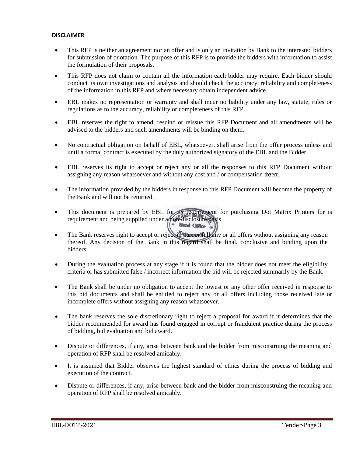#### **DISCLAIMER**

- This RFP is neither an agreement nor an offer and is only an invitation by Bank to the interested bidders for submission of quotation. The purpose of this RFP is to provide the bidders with information to assist the formulation of their proposals.
- This RFP does not claim to contain all the information each bidder may require. Each bidder should conduct its own investigations and analysis and should check the accuracy, reliability and completeness of the information in this RFP and where necessary obtain independent advice.
- EBL makes no representation or warranty and shall incur no liability under any law, statute, rules or regulations as to the accuracy, reliability or completeness of this RFP.
- EBL reserves the right to amend, rescind or reissue this RFP Document and all amendments will be advised to the bidders and such amendments will be binding on them.
- No contractual obligation on behalf of EBL, whatsoever, shall arise from the offer process unless and until a formal contract is executed by the duly authorized signatory of the EBL and the Bidder.
- EBL reserves its right to accept or reject any or all the responses to this RFP Document without assigning any reason whatsoever and without any cost and / or compensation thereof.
- The information provided by the bidders in response to this RFP Document will become the property of the Bank and will not be returned.
- This document is prepared by EBL for its requirement for purchasing Dot Matrix Printers for is requirement and being supplied under a non-disclosure basis.
- The Bank reserves right to accept or reject in part or full any or all offers without assigning any reason thereof. Any decision of the Bank in this regard shall be final, conclusive and binding upon the bidders.
- During the evaluation process at any stage if it is found that the bidder does not meet the eligibility criteria or has submitted false / incorrect information the bid will be rejected summarily by the Bank.
- The Bank shall be under no obligation to accept the lowest or any other offer received in response to this bid documents and shall be entitled to reject any or all offers including those received late or incomplete offers without assigning any reason whatsoever.
- The bank reserves the sole discretionary right to reject a proposal for award if it determines that the bidder recommended for award has found engaged in corrupt or fraudulent practice during the process of bidding, bid evaluation and bid award.
- Dispute or differences, if any, arise between bank and the bidder from misconstruing the meaning and operation of RFP shall be resolved amicably.
- It is assumed that Bidder observes the highest standard of ethics during the process of bidding and execution of the contract.
- Dispute or differences, if any, arise between bank and the bidder from misconstruing the meaning and operation of RFP shall be resolved amicably.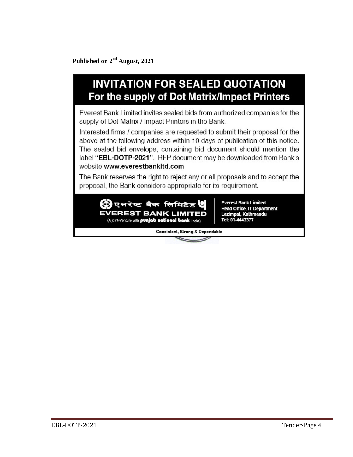Published on 2<sup>nd</sup> August, 2021

# **INVITATION FOR SEALED QUOTATION** For the supply of Dot Matrix/Impact Printers

Everest Bank Limited invites sealed bids from authorized companies for the supply of Dot Matrix / Impact Printers in the Bank.

Interested firms / companies are requested to submit their proposal for the above at the following address within 10 days of publication of this notice. The sealed bid envelope, containing bid document should mention the label "EBL-DOTP-2021". RFP document may be downloaded from Bank's website www.everestbankltd.com

The Bank reserves the right to reject any or all proposals and to accept the proposal, the Bank considers appropriate for its requirement.



**Everest Bank Limited Head Office, IT Department** Lazimpat, Kathmandu Tel: 01-4443377

Consistent, Strong & Dependable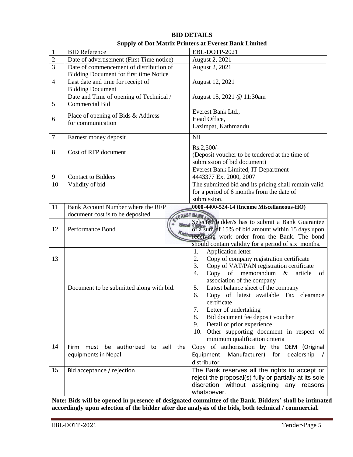|                                                                                 | EBL-DOTP-2021                                                                                                                                                                                                                                                                                                                                                                                                                 |  |  |
|---------------------------------------------------------------------------------|-------------------------------------------------------------------------------------------------------------------------------------------------------------------------------------------------------------------------------------------------------------------------------------------------------------------------------------------------------------------------------------------------------------------------------|--|--|
|                                                                                 | August 2, 2021                                                                                                                                                                                                                                                                                                                                                                                                                |  |  |
|                                                                                 | August 2, 2021                                                                                                                                                                                                                                                                                                                                                                                                                |  |  |
|                                                                                 |                                                                                                                                                                                                                                                                                                                                                                                                                               |  |  |
|                                                                                 | August 12, 2021                                                                                                                                                                                                                                                                                                                                                                                                               |  |  |
|                                                                                 |                                                                                                                                                                                                                                                                                                                                                                                                                               |  |  |
|                                                                                 | August 15, 2021 @ 11:30am                                                                                                                                                                                                                                                                                                                                                                                                     |  |  |
|                                                                                 |                                                                                                                                                                                                                                                                                                                                                                                                                               |  |  |
|                                                                                 | Everest Bank Ltd.,                                                                                                                                                                                                                                                                                                                                                                                                            |  |  |
|                                                                                 | Head Office,                                                                                                                                                                                                                                                                                                                                                                                                                  |  |  |
|                                                                                 | Lazimpat, Kathmandu                                                                                                                                                                                                                                                                                                                                                                                                           |  |  |
|                                                                                 | Nil                                                                                                                                                                                                                                                                                                                                                                                                                           |  |  |
|                                                                                 | Rs.2,500/-                                                                                                                                                                                                                                                                                                                                                                                                                    |  |  |
|                                                                                 | (Deposit voucher to be tendered at the time of                                                                                                                                                                                                                                                                                                                                                                                |  |  |
|                                                                                 | submission of bid document)                                                                                                                                                                                                                                                                                                                                                                                                   |  |  |
|                                                                                 | Everest Bank Limited, IT Department                                                                                                                                                                                                                                                                                                                                                                                           |  |  |
|                                                                                 | 4443377 Ext 2000, 2007                                                                                                                                                                                                                                                                                                                                                                                                        |  |  |
|                                                                                 | The submitted bid and its pricing shall remain valid                                                                                                                                                                                                                                                                                                                                                                          |  |  |
|                                                                                 | for a period of 6 months from the date of                                                                                                                                                                                                                                                                                                                                                                                     |  |  |
|                                                                                 | submission.                                                                                                                                                                                                                                                                                                                                                                                                                   |  |  |
| 0000-4400-524-14 (Income Miscellaneous-HO)<br>Bank Account Number where the RFP |                                                                                                                                                                                                                                                                                                                                                                                                                               |  |  |
|                                                                                 | EREST BANK                                                                                                                                                                                                                                                                                                                                                                                                                    |  |  |
| <b>blend</b>                                                                    | Selected bidder/s has to submit a Bank Guarantee                                                                                                                                                                                                                                                                                                                                                                              |  |  |
|                                                                                 | of a sum of 15% of bid amount within 15 days upon<br>receiving work order from the Bank. The bond                                                                                                                                                                                                                                                                                                                             |  |  |
|                                                                                 | should contain validity for a period of six months.                                                                                                                                                                                                                                                                                                                                                                           |  |  |
|                                                                                 | Application letter<br>1.                                                                                                                                                                                                                                                                                                                                                                                                      |  |  |
|                                                                                 | 2.<br>Copy of company registration certificate                                                                                                                                                                                                                                                                                                                                                                                |  |  |
|                                                                                 | 3.<br>Copy of VAT/PAN registration certificate                                                                                                                                                                                                                                                                                                                                                                                |  |  |
|                                                                                 | 4.<br>Copy of memorandum<br>$\&$<br>article<br>of                                                                                                                                                                                                                                                                                                                                                                             |  |  |
|                                                                                 | association of the company                                                                                                                                                                                                                                                                                                                                                                                                    |  |  |
|                                                                                 | Latest balance sheet of the company<br>5.                                                                                                                                                                                                                                                                                                                                                                                     |  |  |
|                                                                                 | Copy of latest available Tax clearance<br>6.                                                                                                                                                                                                                                                                                                                                                                                  |  |  |
|                                                                                 | certificate                                                                                                                                                                                                                                                                                                                                                                                                                   |  |  |
|                                                                                 | Letter of undertaking<br>7.                                                                                                                                                                                                                                                                                                                                                                                                   |  |  |
|                                                                                 | Bid document fee deposit voucher<br>8.                                                                                                                                                                                                                                                                                                                                                                                        |  |  |
|                                                                                 | Detail of prior experience<br>9.                                                                                                                                                                                                                                                                                                                                                                                              |  |  |
|                                                                                 | 10. Other supporting document in respect of<br>minimum qualification criteria                                                                                                                                                                                                                                                                                                                                                 |  |  |
|                                                                                 | Copy of authorization by the OEM (Original                                                                                                                                                                                                                                                                                                                                                                                    |  |  |
|                                                                                 | Manufacturer)<br>Equipment<br>for<br>dealership                                                                                                                                                                                                                                                                                                                                                                               |  |  |
|                                                                                 | distributor                                                                                                                                                                                                                                                                                                                                                                                                                   |  |  |
|                                                                                 |                                                                                                                                                                                                                                                                                                                                                                                                                               |  |  |
|                                                                                 |                                                                                                                                                                                                                                                                                                                                                                                                                               |  |  |
| Bid acceptance / rejection                                                      | The Bank reserves all the rights to accept or                                                                                                                                                                                                                                                                                                                                                                                 |  |  |
|                                                                                 | reject the proposal(s) fully or partially at its sole<br>discretion without assigning any reasons                                                                                                                                                                                                                                                                                                                             |  |  |
|                                                                                 | оарргу ог Doc маатта 1 гипств at Dycrest Dank Elli<br>Date of advertisement (First Time notice)<br>Date of commencement of distribution of<br>Bidding Document for first time Notice<br>Last date and time for receipt of<br>Date and Time of opening of Technical /<br>Place of opening of Bids & Address<br>document cost is to be deposited<br>Document to be submitted along with bid.<br>sell<br>authorized<br>the<br>to |  |  |

**BID DETAILS Supply of Dot Matrix Printers at Everest Bank Limited**

**Note: Bids will be opened in presence of designated committee of the Bank. Bidders' shall be intimated accordingly upon selection of the bidder after due analysis of the bids, both technical / commercial.**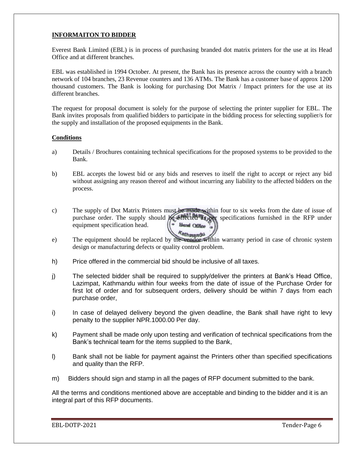# **INFORMAITON TO BIDDER**

Everest Bank Limited (EBL) is in process of purchasing branded dot matrix printers for the use at its Head Office and at different branches.

EBL was established in 1994 October. At present, the Bank has its presence across the country with a branch network of 104 branches, 23 Revenue counters and 136 ATMs. The Bank has a customer base of approx 1200 thousand customers. The Bank is looking for purchasing Dot Matrix / Impact printers for the use at its different branches.

The request for proposal document is solely for the purpose of selecting the printer supplier for EBL. The Bank invites proposals from qualified bidders to participate in the bidding process for selecting supplier/s for the supply and installation of the proposed equipments in the Bank.

### **Conditions**

- a) Details / Brochures containing technical specifications for the proposed systems to be provided to the Bank.
- b) EBL accepts the lowest bid or any bids and reserves to itself the right to accept or reject any bid without assigning any reason thereof and without incurring any liability to the affected bidders on the process.
- c) The supply of Dot Matrix Printers must be made within four to six weeks from the date of issue of purchase order. The supply should be effected as per specifications furnished in the RFP under equipment specification head. **Hend Office**
- e) The equipment should be replaced by the vendor within warranty period in case of chronic system design or manufacturing defects or quality control problem.
- h) Price offered in the commercial bid should be inclusive of all taxes.
- j) The selected bidder shall be required to supply/deliver the printers at Bank's Head Office, Lazimpat, Kathmandu within four weeks from the date of issue of the Purchase Order for first lot of order and for subsequent orders, delivery should be within 7 days from each purchase order,
- i) In case of delayed delivery beyond the given deadline, the Bank shall have right to levy penalty to the supplier NPR.1000.00 Per day.
- k) Payment shall be made only upon testing and verification of technical specifications from the Bank's technical team for the items supplied to the Bank,
- l) Bank shall not be liable for payment against the Printers other than specified specifications and quality than the RFP.
- m) Bidders should sign and stamp in all the pages of RFP document submitted to the bank.

All the terms and conditions mentioned above are acceptable and binding to the bidder and it is an integral part of this RFP documents.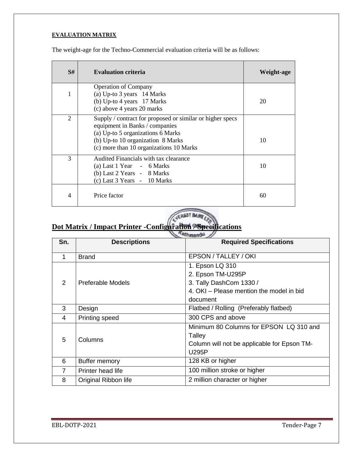# **EVALUATION MATRIX**

| S# | <b>Evaluation criteria</b>                                                                                                                                                                                       | Weight-age |
|----|------------------------------------------------------------------------------------------------------------------------------------------------------------------------------------------------------------------|------------|
| 1  | <b>Operation of Company</b><br>(a) Up-to 3 years 14 Marks<br>(b) Up-to 4 years 17 Marks<br>(c) above 4 years 20 marks                                                                                            | 20         |
| 2  | Supply / contract for proposed or similar or higher specs<br>equipment in Banks / companies<br>(a) Up-to 5 organizations 6 Marks<br>(b) Up-to 10 organization 8 Marks<br>(c) more than 10 organizations 10 Marks | 10         |
| 3  | Audited Financials with tax clearance<br>(a) Last 1 Year - 6 Marks<br>(b) Last 2 Years - 8 Marks<br>(c) Last 3 Years - 10 Marks                                                                                  | 10         |
| 4  | Price factor                                                                                                                                                                                                     | 60         |

The weight-age for the Techno-Commercial evaluation criteria will be as follows:

# WEREST BAN

# **Dot Matrix / Impact Printer -Configuration / Specifications**

|                | <b>LA MARKON</b>     |                                                                                                                         |  |  |
|----------------|----------------------|-------------------------------------------------------------------------------------------------------------------------|--|--|
| Sn.            | <b>Descriptions</b>  | <b>Required Specifications</b>                                                                                          |  |  |
| 1              | <b>Brand</b>         | EPSON / TALLEY / OKI                                                                                                    |  |  |
| $\mathcal{P}$  | Preferable Models    | 1. Epson LQ 310<br>2. Epson TM-U295P<br>3. Tally DashCom 1330 /<br>4. OKI - Please mention the model in bid<br>document |  |  |
| 3              | Design               | Flatbed / Rolling (Preferably flatbed)                                                                                  |  |  |
| 4              | Printing speed       | 300 CPS and above                                                                                                       |  |  |
| 5              | Columns              | Minimum 80 Columns for EPSON LQ 310 and<br>Talley<br>Column will not be applicable for Epson TM-<br><b>U295P</b>        |  |  |
| 6              | Buffer memory        | 128 KB or higher                                                                                                        |  |  |
| $\overline{7}$ | Printer head life    | 100 million stroke or higher                                                                                            |  |  |
| 8              | Original Ribbon life | 2 million character or higher                                                                                           |  |  |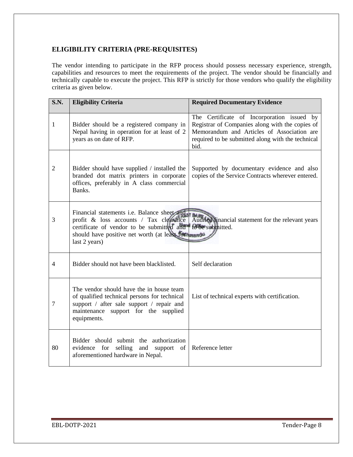# **ELIGIBILITY CRITERIA (PRE-REQUISITES)**

The vendor intending to participate in the RFP process should possess necessary experience, strength, capabilities and resources to meet the requirements of the project. The vendor should be financially and technically capable to execute the project. This RFP is strictly for those vendors who qualify the eligibility criteria as given below.

| <b>S.N.</b>     | <b>Eligibility Criteria</b>                                                                                                                                                                                                  | <b>Required Documentary Evidence</b>                                                                                                                                                                     |  |
|-----------------|------------------------------------------------------------------------------------------------------------------------------------------------------------------------------------------------------------------------------|----------------------------------------------------------------------------------------------------------------------------------------------------------------------------------------------------------|--|
| 1               | Bidder should be a registered company in<br>Nepal having in operation for at least of 2<br>years as on date of RFP.                                                                                                          | The Certificate of Incorporation issued by<br>Registrar of Companies along with the copies of<br>Memorandum and Articles of Association are<br>required to be submitted along with the technical<br>bid. |  |
| $\overline{2}$  | Bidder should have supplied / installed the<br>branded dot matrix printers in corporate<br>offices, preferably in A class commercial<br>Banks.                                                                               | Supported by documentary evidence and also<br>copies of the Service Contracts wherever entered.                                                                                                          |  |
| 3               | Financial statements i.e. Balance sheet and<br>profit & loss accounts / Tax clearance<br>certificate of vendor to be submitted and to be submitted.<br>should have positive net worth (at least forthmands)<br>last 2 years) | Audited financial statement for the relevant years                                                                                                                                                       |  |
| $\overline{4}$  | Bidder should not have been blacklisted.                                                                                                                                                                                     | Self declaration                                                                                                                                                                                         |  |
| $7\phantom{.0}$ | The vendor should have the in house team<br>of qualified technical persons for technical<br>support / after sale support / repair and<br>maintenance support for the supplied<br>equipments.                                 | List of technical experts with certification.                                                                                                                                                            |  |
| 80              | Bidder should submit the authorization<br>evidence for<br>selling and support of<br>aforementioned hardware in Nepal.                                                                                                        | Reference letter                                                                                                                                                                                         |  |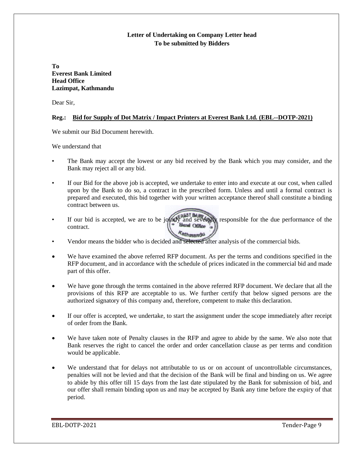# **Letter of Undertaking on Company Letter head To be submitted by Bidders**

**To Everest Bank Limited Head Office Lazimpat, Kathmandu**

Dear Sir,

## **Reg.: Bid for Supply of Dot Matrix / Impact Printers at Everest Bank Ltd. (EBL--DOTP-2021)**

We submit our Bid Document herewith.

We understand that

- The Bank may accept the lowest or any bid received by the Bank which you may consider, and the Bank may reject all or any bid.
- If our Bid for the above job is accepted, we undertake to enter into and execute at our cost, when called upon by the Bank to do so, a contract in the prescribed form. Unless and until a formal contract is prepared and executed, this bid together with your written acceptance thereof shall constitute a binding contract between us.
- If our bid is accepted, we are to be jointly and severally responsible for the due performance of the contract contract. Kathmandu
- Vendor means the bidder who is decided and selected after analysis of the commercial bids.
- We have examined the above referred RFP document. As per the terms and conditions specified in the RFP document, and in accordance with the schedule of prices indicated in the commercial bid and made part of this offer.
- We have gone through the terms contained in the above referred RFP document. We declare that all the provisions of this RFP are acceptable to us. We further certify that below signed persons are the authorized signatory of this company and, therefore, competent to make this declaration.
- If our offer is accepted, we undertake, to start the assignment under the scope immediately after receipt of order from the Bank.
- We have taken note of Penalty clauses in the RFP and agree to abide by the same. We also note that Bank reserves the right to cancel the order and order cancellation clause as per terms and condition would be applicable.
- We understand that for delays not attributable to us or on account of uncontrollable circumstances, penalties will not be levied and that the decision of the Bank will be final and binding on us. We agree to abide by this offer till 15 days from the last date stipulated by the Bank for submission of bid, and our offer shall remain binding upon us and may be accepted by Bank any time before the expiry of that period.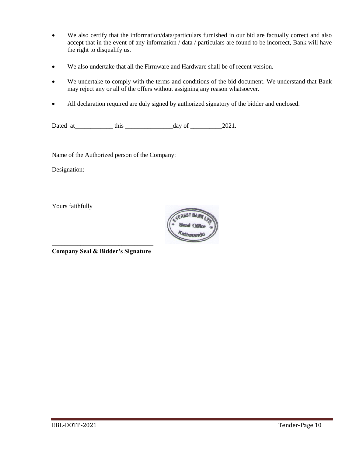- We also certify that the information/data/particulars furnished in our bid are factually correct and also accept that in the event of any information / data / particulars are found to be incorrect, Bank will have the right to disqualify us.
- We also undertake that all the Firmware and Hardware shall be of recent version.
- We undertake to comply with the terms and conditions of the bid document. We understand that Bank may reject any or all of the offers without assigning any reason whatsoever.
- All declaration required are duly signed by authorized signatory of the bidder and enclosed.

Dated at\_\_\_\_\_\_\_\_\_\_\_\_ this \_\_\_\_\_\_\_\_\_\_\_\_\_\_\_day of \_\_\_\_\_\_\_\_\_\_2021.

Name of the Authorized person of the Company:

Designation:

Yours faithfully



\_\_\_\_\_\_\_\_\_\_\_\_\_\_\_\_\_\_\_\_\_\_\_\_\_\_\_\_\_\_\_\_ **Company Seal & Bidder's Signature**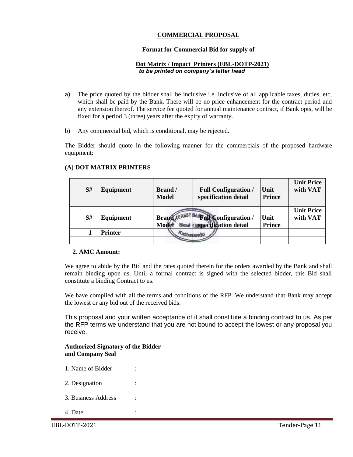# **COMMERCIAL PROPOSAL**

### **Format for Commercial Bid for supply of**

# **Dot Matrix / Impact Printers (EBL-DOTP-2021)** *to be printed on company's letter head*

- **a)** The price quoted by the bidder shall be inclusive i.e. inclusive of all applicable taxes, duties, etc, which shall be paid by the Bank. There will be no price enhancement for the contract period and any extension thereof. The service fee quoted for annual maintenance contract, if Bank opts, will be fixed for a period 3 (three) years after the expiry of warranty.
- b) Any commercial bid, which is conditional, may be rejected.

The Bidder should quote in the following manner for the commercials of the proposed hardware equipment:

| S# | Equipment      | Brand /<br><b>Model</b> | <b>Full Configuration /</b><br>specification detail                    | Unit<br><b>Prince</b> | <b>Unit Price</b><br>with VAT |
|----|----------------|-------------------------|------------------------------------------------------------------------|-----------------------|-------------------------------|
| S# | Equipment      | <b>Brand</b><br>Model   | <sup>A</sup> Full Configuration /<br><b>Mend Ospecification detail</b> | Unit<br><b>Prince</b> | <b>Unit Price</b><br>with VAT |
|    | <b>Printer</b> |                         |                                                                        |                       |                               |
|    |                |                         |                                                                        |                       |                               |

#### **(A) DOT MATRIX PRINTERS**

### **2. AMC Amount:**

'

We agree to abide by the Bid and the rates quoted therein for the orders awarded by the Bank and shall remain binding upon us. Until a formal contract is signed with the selected bidder, this Bid shall constitute a binding Contract to us.

We have complied with all the terms and conditions of the RFP. We understand that Bank may accept the lowest or any bid out of the received bids.

This proposal and your written acceptance of it shall constitute a binding contract to us. As per the RFP terms we understand that you are not bound to accept the lowest or any proposal you receive.

## **Authorized Signatory of the Bidder and Company Seal**

- 1. Name of Bidder :
- 2. Designation
- 3. Business Address :
- 4. Date :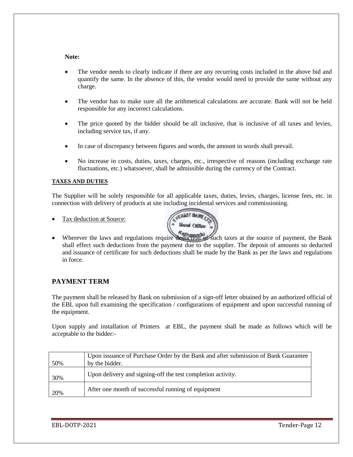#### **Note:**

- The vendor needs to clearly indicate if there are any recurring costs included in the above bid and quantify the same. In the absence of this, the vendor would need to provide the same without any charge.
- The vendor has to make sure all the arithmetical calculations are accurate. Bank will not be held responsible for any incorrect calculations.
- The price quoted by the bidder should be all inclusive, that is inclusive of all taxes and levies, including service tax, if any.
- In case of discrepancy between figures and words, the amount in words shall prevail.
- No increase in costs, duties, taxes, charges, etc., irrespective of reasons (including exchange rate fluctuations, etc.) whatsoever, shall be admissible during the currency of the Contract.

### **TAXES AND DUTIES**

The Supplier will be solely responsible for all applicable taxes, duties, levies, charges, license fees, etc. in connection with delivery of products at site including incidental services and commissioning.

Tax deduction at Source:



• Wherever the laws and regulations require deduction of such taxes at the source of payment, the Bank shall effect such deductions from the payment due to the supplier. The deposit of amounts so deducted and issuance of certificate for such deductions shall be made by the Bank as per the laws and regulations in force.

# **PAYMENT TERM**

The payment shall be released by Bank on submission of a sign-off letter obtained by an authorized official of the EBL upon full examining the specification / configurations of equipment and upon successful running of the equipment.

Upon supply and installation of Printers at EBL, the payment shall be made as follows which will be acceptable to the bidder:-

| 50% | Upon issuance of Purchase Order by the Bank and after submission of Bank Guarantee<br>by the bidder. |
|-----|------------------------------------------------------------------------------------------------------|
| 30% | Upon delivery and signing-off the test completion activity.                                          |
| 20% | After one month of successful running of equipment                                                   |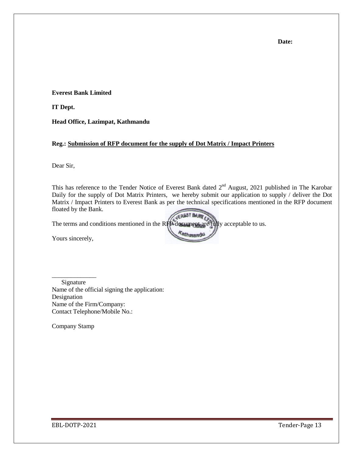**Everest Bank Limited**

**IT Dept.**

**Head Office, Lazimpat, Kathmandu**

### **Reg.: Submission of RFP document for the supply of Dot Matrix / Impact Printers**

Dear Sir,

This has reference to the Tender Notice of Everest Bank dated  $2<sup>nd</sup>$  August, 2021 published in The Karobar Daily for the supply of Dot Matrix Printers, we hereby submit our application to supply / deliver the Dot Matrix / Impact Printers to Everest Bank as per the technical specifications mentioned in the RFP document floated by the Bank.

Kathmand

The terms and conditions mentioned in the RFP document are fully acceptable to us.

Yours sincerely,

\_\_\_\_\_\_\_\_\_\_\_\_\_\_ Signature Name of the official signing the application: Designation Name of the Firm/Company: Contact Telephone/Mobile No.:

Company Stamp

**Date:**